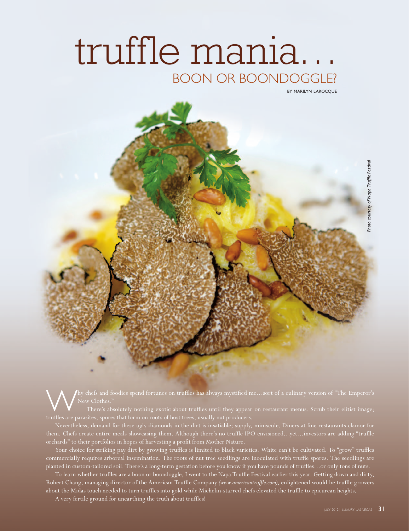# truffle mania… BOON OR BOONDOGGLE?

**BY MARILYN LAROCOUE** 



hy chefs and foodies spend fortunes on truffles has always mystified me…sort of a culinary version of "The Emperor's

There's absolutely nothing exotic about truffles until they appear on restaurant menus. Scrub their elitist image;

Nevertheless, demand for these ugly diamonds in the dirt is insatiable; supply, miniscule. Diners at fine restaurants clamor for them. Chefs create entire meals showcasing them. Although there's no truffle IPO envisioned…yet…investors are adding "truffle orchards" to their portfolios in hopes of harvesting a profit from Mother Nature.

Your choice for striking pay dirt by growing truffles is limited to black varieties. White can't be cultivated. To "grow" truffles commercially requires arboreal insemination. The roots of nut tree seedlings are inoculated with truffle spores. The seedlings are planted in custom-tailored soil. There's a long-term gestation before you know if you have pounds of truffles…or only tons of nuts.

To learn whether truffles are a boon or boondoggle, I went to the Napa Truffle Festival earlier this year. Getting down and dirty, Robert Chang, managing director of the American Truffle Company *(www.americantruffle.com)*, enlightened would-be truffle growers about the Midas touch needed to turn truffles into gold while Michelin-starred chefs elevated the truffle to epicurean heights.

A very fertile ground for unearthing the truth about truffles!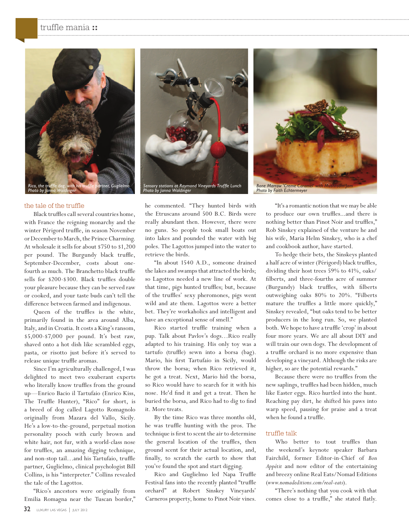## truffle mania **::**



## the tale of the truffle

Black truffles call several countries home, with France the reigning monarchy and the winter Périgord truffle, in season November or December to March, the Prince Charming. At wholesale it sells for about \$750 to \$1,200 per pound. The Burgundy black truffle, September-December, costs about onefourth as much. The Branchetto black truffle sells for \$200-\$300. Black truffles double your pleasure because they can be served raw or cooked, and your taste buds can't tell the difference between farmed and indigenous.

Queen of the truffles is the white, primarily found in the area around Alba, Italy, and in Croatia. It costs a King's ransom, \$5,000-\$7,000 per pound. It's best raw, shaved onto a hot dish like scrambled eggs, pasta, or risotto just before it's served to release unique truffle aromas.

Since I'm agriculturally challenged, I was delighted to meet two exuberant experts who literally know truffles from the ground up—Enrico Bacio il Tartufaio (Enrico Kiss, The Truffle Hunter), "Rico" for short, is a breed of dog called Lagotto Romagnolo originally from Mazara del Vallo, Sicily. He's a low-to-the-ground, perpetual motion personality pooch with curly brown and white hair, not fur, with a world-class nose for truffles, an amazing digging technique, and non-stop tail…and his Tartufaio, truffle partner, Guglielmo, clinical psychologist Bill Collins, is his "interpreter." Collins revealed the tale of the Lagottos.

"Rico's ancestors were originally from Emilia Romagna near the Tuscan border,"





he commented. "They hunted birds with the Etruscans around 500 B.C. Birds were really abundant then. However, there were no guns. So people took small boats out into lakes and pounded the water with big poles. The Lagottos jumped into the water to retrieve the birds.

"In about 1540 A.D., someone drained the lakes and swamps that attracted the birds; so Lagottos needed a new line of work. At that time, pigs hunted truffles; but, because of the truffles' sexy pheromones, pigs went wild and ate them. Lagottos were a better bet. They're workaholics and intelligent and have an exceptional sense of smell."

Rico started truffle training when a pup. Talk about Pavlov's dogs…Rico really adapted to his training. His only toy was a tartufo (truffle) sewn into a borsa (bag). Mario, his first Tartufaio in Sicily, would throw the borsa; when Rico retrieved it, he got a treat. Next, Mario hid the borsa, so Rico would have to search for it with his nose. He'd find it and get a treat. Then he buried the borsa, and Rico had to dig to find it. More treats.

By the time Rico was three months old, he was truffle hunting with the pros. The technique is first to scent the air to determine the general location of the truffles, then ground scent for their actual location, and, finally, to scratch the earth to show that you've found the spot and start digging.

Rico and Guglielmo led Napa Truffle Festival fans into the recently planted "truffle orchard" at Robert Sinskey Vineyards' Carneros property, home to Pinot Noir vines.

"It's a romantic notion that we may be able to produce our own truffles...and there is nothing better than Pinot Noir and truffles," Rob Sinskey explained of the venture he and his wife, Maria Helm Sinskey, who is a chef and cookbook author, have started.

To hedge their bets, the Sinskeys planted a half acre of winter (Périgord) black truffles, dividing their host trees 59% to 41%, oaks/ filberts, and three-fourths acre of summer (Burgundy) black truffles, with filberts outweighing oaks 80% to 20%. "Filberts mature the truffles a little more quickly," Sinskey revealed, "but oaks tend to be better producers in the long run. So, we planted both. We hope to have a truffle 'crop' in about four more years. We are all about DIY and will train our own dogs. The development of a truffle orchard is no more expensive than developing a vineyard. Although the risks are higher, so are the potential rewards."

Because there were no truffles from the new saplings, truffles had been hidden, much like Easter eggs. Rico hurtled into the hunt. Reaching pay dirt, he shifted his paws into warp speed, pausing for praise and a treat when he found a truffle.

#### truffle talk

Who better to tout truffles than the weekend's keynote speaker Barbara Fairchild, former Editor-in-Chief of *Bon Appétit* and now editor of the entertaining and breezy online Real Eats/Nomad Editions (*www.nomadeditions.com/real-eats*).

"There's nothing that you cook with that comes close to a truffle," she stated flatly.